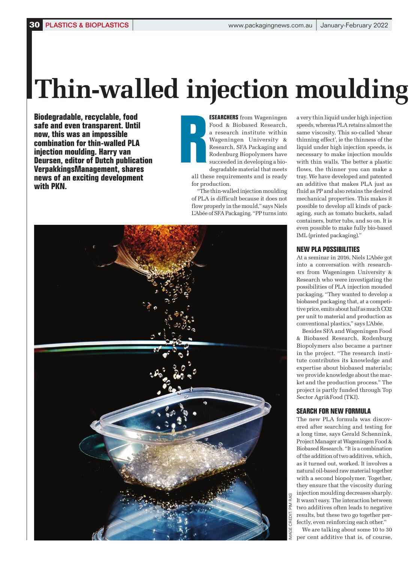# **Thin-walled injection moulding**

**Biodegradable, recyclable, food safe and even transparent. Until now, this was an impossible combination for thin-walled PLA injection moulding. Harry van Deursen, editor of Dutch publication VerpakkingsManagement, shares news of an exciting development with PKN.**

**ESEARCHERS** from Wageningen Food & Biobased Research, a research institute within Wageningen University & Research, SFA Packaging and Rodenburg Biopolymers have succeeded in developing a biodegradable material that meets **R**

all these requirements and is ready for production.

"The thin-walled injection moulding of PLA is difficult because it does not flow properly in the mould," says Niels L'Abée of SFA Packaging. "PP turns into



a very thin liquid under high injection speeds, whereas PLA retains almost the same viscosity. This so-called 'shear thinning effect', ie the thinness of the liquid under high injection speeds, is necessary to make injection moulds with thin walls. The better a plastic flows, the thinner you can make a tray. We have developed and patented an additive that makes PLA just as fluid as PP and also retains the desired mechanical properties. This makes it possible to develop all kinds of packaging, such as tomato buckets, salad containers, butter tubs, and so on. It is even possible to make fully bio-based IML (printed packaging)."

### **NEW PLA POSSIBILITIES**

At a seminar in 2016, Niels L'Abée got into a conversation with researchers from Wageningen University & Research who were investigating the possibilities of PLA injection mouded packaging. "They wanted to develop a biobased packaging that, at a competitive price, emits about half as much CO2 per unit to material and production as conventional plastics," says L'Abée.

Besides SFA and Wageningen Food & Biobased Research, Rodenburg Biopolymers also became a partner in the project. "The research institute contributes its knowledge and expertise about biobased materials; we provide knowledge about the market and the production process." The project is partly funded through Top Sector Agri&Food (TKI).

## **SEARCH FOR NEW FORMULA**

The new PLA formula was discovered after searching and testing for a long time, says Gerald Schennink, Project Manager at Wageningen Food & Biobased Research. "It is a combination of the addition of two additives, which, as it turned out, worked. It involves a natural oil-based raw material together with a second biopolymer. Together, they ensure that the viscosity during injection moulding decreases sharply. It wasn't easy. The interaction between two additives often leads to negative results, but these two go together perfectly, even reinforcing each other."

We are talking about some 10 to 30 per cent additive that is, of course,